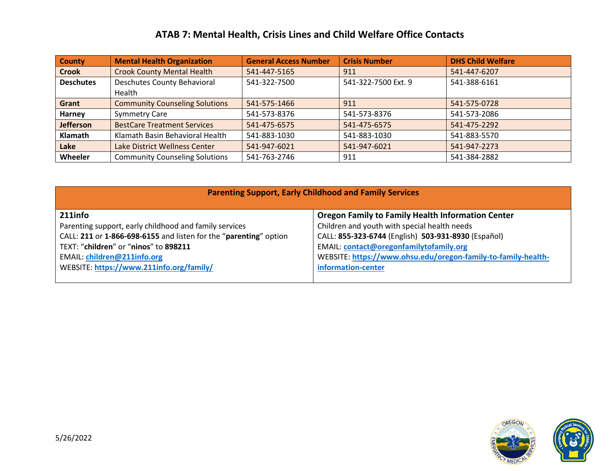## **ATAB 7: Mental Health, Crisis Lines and Child Welfare Office Contacts**

| <b>County</b>    | <b>Mental Health Organization</b>     | <b>General Access Number</b> | <b>Crisis Number</b> | <b>DHS Child Welfare</b> |
|------------------|---------------------------------------|------------------------------|----------------------|--------------------------|
| <b>Crook</b>     | <b>Crook County Mental Health</b>     | 541-447-5165                 | 911                  | 541-447-6207             |
| <b>Deschutes</b> | Deschutes County Behavioral           | 541-322-7500                 | 541-322-7500 Ext. 9  | 541-388-6161             |
|                  | Health                                |                              |                      |                          |
| Grant            | <b>Community Counseling Solutions</b> | 541-575-1466                 | 911                  | 541-575-0728             |
| Harney           | <b>Symmetry Care</b>                  | 541-573-8376                 | 541-573-8376         | 541-573-2086             |
| Jefferson        | <b>BestCare Treatment Services</b>    | 541-475-6575                 | 541-475-6575         | 541-475-2292             |
| Klamath          | Klamath Basin Behavioral Health       | 541-883-1030                 | 541-883-1030         | 541-883-5570             |
| Lake             | Lake District Wellness Center         | 541-947-6021                 | 541-947-6021         | 541-947-2273             |
| Wheeler          | <b>Community Counseling Solutions</b> | 541-763-2746                 | 911                  | 541-384-2882             |

| <b>Parenting Support, Early Childhood and Family Services</b>     |                                                               |  |  |  |
|-------------------------------------------------------------------|---------------------------------------------------------------|--|--|--|
| 211info                                                           | <b>Oregon Family to Family Health Information Center</b>      |  |  |  |
| Parenting support, early childhood and family services            | Children and youth with special health needs                  |  |  |  |
| CALL: 211 or 1-866-698-6155 and listen for the "parenting" option | CALL: 855-323-6744 (English) 503-931-8930 (Español)           |  |  |  |
| TEXT: "children" or "ninos" to 898211                             | <b>EMAIL: contact@oregonfamilytofamily.org</b>                |  |  |  |
| <b>EMAIL: children@211info.org</b>                                | WEBSITE: https://www.ohsu.edu/oregon-family-to-family-health- |  |  |  |
| WEBSITE: https://www.211info.org/family/                          | information-center                                            |  |  |  |
|                                                                   |                                                               |  |  |  |